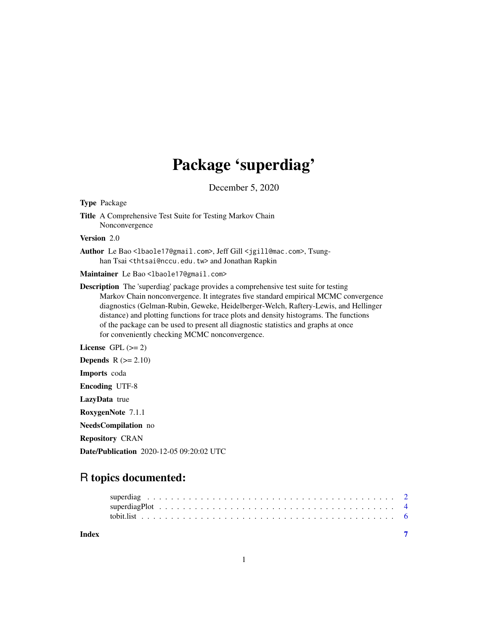## Package 'superdiag'

December 5, 2020

<span id="page-0-0"></span>Type Package

Title A Comprehensive Test Suite for Testing Markov Chain Nonconvergence

Version 2.0

Author Le Bao<lbaole17@gmail.com>, Jeff Gill <jgill@mac.com>, Tsunghan Tsai <thtsai@nccu.edu.tw> and Jonathan Rapkin

Maintainer Le Bao <lbaole17@gmail.com>

Description The 'superdiag' package provides a comprehensive test suite for testing Markov Chain nonconvergence. It integrates five standard empirical MCMC convergence diagnostics (Gelman-Rubin, Geweke, Heidelberger-Welch, Raftery-Lewis, and Hellinger distance) and plotting functions for trace plots and density histograms. The functions of the package can be used to present all diagnostic statistics and graphs at once for conveniently checking MCMC nonconvergence.

License GPL  $(>= 2)$ 

**Depends**  $R$  ( $>= 2.10$ )

Imports coda

Encoding UTF-8

LazyData true

RoxygenNote 7.1.1

NeedsCompilation no

Repository CRAN

Date/Publication 2020-12-05 09:20:02 UTC

### R topics documented:

| Index |  |  |  |  |  |  |  |  |  |  |  |  |  |  |  |  |  |
|-------|--|--|--|--|--|--|--|--|--|--|--|--|--|--|--|--|--|
|       |  |  |  |  |  |  |  |  |  |  |  |  |  |  |  |  |  |
|       |  |  |  |  |  |  |  |  |  |  |  |  |  |  |  |  |  |
|       |  |  |  |  |  |  |  |  |  |  |  |  |  |  |  |  |  |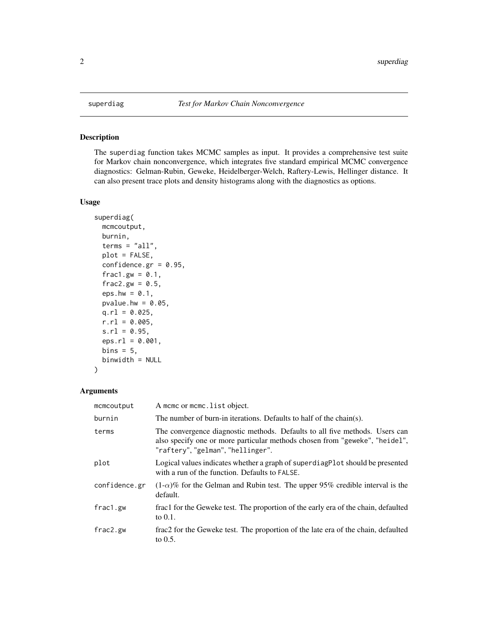#### Description

The superdiag function takes MCMC samples as input. It provides a comprehensive test suite for Markov chain nonconvergence, which integrates five standard empirical MCMC convergence diagnostics: Gelman-Rubin, Geweke, Heidelberger-Welch, Raftery-Lewis, Hellinger distance. It can also present trace plots and density histograms along with the diagnostics as options.

#### Usage

```
superdiag(
 mcmcoutput,
 burnin,
  terms = "all",plot = FALSE,
 confidence.gr = 0.95,
  frac1.gw = 0.1,
  frac2.gw = 0.5,
  eps.hw = 0.1,
 pvalue.hw = 0.05,
 q.r1 = 0.025,r.r1 = 0.005,
  s.r1 = 0.95,
 eps.r1 = 0.001,bins = 5,
 binwidth = NULL
)
```
#### Arguments

| mcmcoutput    | A mome or mome. list object.                                                                                                                                                                    |
|---------------|-------------------------------------------------------------------------------------------------------------------------------------------------------------------------------------------------|
| burnin        | The number of burn-in iterations. Defaults to half of the chain(s).                                                                                                                             |
| terms         | The convergence diagnostic methods. Defaults to all five methods. Users can<br>also specify one or more particular methods chosen from "geweke", "heidel",<br>"raftery", "gelman", "hellinger". |
| plot          | Logical values indicates whether a graph of superdiage lot should be presented<br>with a run of the function. Defaults to FALSE.                                                                |
| confidence.gr | $(1-\alpha)\%$ for the Gelman and Rubin test. The upper 95% credible interval is the<br>default.                                                                                                |
| frac1.gw      | frac1 for the Geweke test. The proportion of the early era of the chain, defaulted<br>to $0.1$ .                                                                                                |
| frac2.gw      | frac2 for the Geweke test. The proportion of the late era of the chain, defaulted<br>to $0.5$ .                                                                                                 |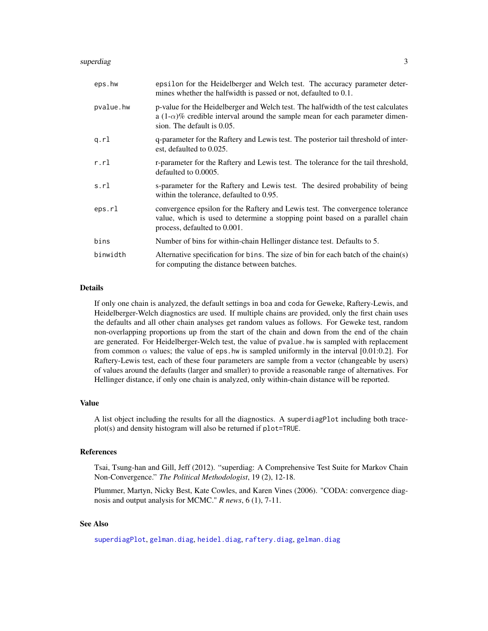#### <span id="page-2-0"></span>superdiag 3

| eps.hw    | epsilon for the Heidelberger and Welch test. The accuracy parameter deter-<br>mines whether the halfwidth is passed or not, defaulted to 0.1.                                                          |
|-----------|--------------------------------------------------------------------------------------------------------------------------------------------------------------------------------------------------------|
| pvalue.hw | p-value for the Heidelberger and Welch test. The halfwidth of the test calculates<br>a $(1-\alpha)\%$ credible interval around the sample mean for each parameter dimen-<br>sion. The default is 0.05. |
| q.rl      | q-parameter for the Raftery and Lewis test. The posterior tail threshold of inter-<br>est, defaulted to 0.025.                                                                                         |
| r.r1      | r-parameter for the Raftery and Lewis test. The tolerance for the tail threshold,<br>defaulted to 0.0005.                                                                                              |
| s.rl      | s-parameter for the Raftery and Lewis test. The desired probability of being<br>within the tolerance, defaulted to 0.95.                                                                               |
| eps.rl    | convergence epsilon for the Raftery and Lewis test. The convergence tolerance<br>value, which is used to determine a stopping point based on a parallel chain<br>process, defaulted to 0.001.          |
| bins      | Number of bins for within-chain Hellinger distance test. Defaults to 5.                                                                                                                                |
| binwidth  | Alternative specification for bins. The size of bin for each batch of the chain(s)<br>for computing the distance between batches.                                                                      |

#### Details

If only one chain is analyzed, the default settings in boa and coda for Geweke, Raftery-Lewis, and Heidelberger-Welch diagnostics are used. If multiple chains are provided, only the first chain uses the defaults and all other chain analyses get random values as follows. For Geweke test, random non-overlapping proportions up from the start of the chain and down from the end of the chain are generated. For Heidelberger-Welch test, the value of pvalue.hw is sampled with replacement from common  $\alpha$  values; the value of eps. hw is sampled uniformly in the interval [0.01:0.2]. For Raftery-Lewis test, each of these four parameters are sample from a vector (changeable by users) of values around the defaults (larger and smaller) to provide a reasonable range of alternatives. For Hellinger distance, if only one chain is analyzed, only within-chain distance will be reported.

#### Value

A list object including the results for all the diagnostics. A superdiagPlot including both traceplot(s) and density histogram will also be returned if plot=TRUE.

#### References

Tsai, Tsung-han and Gill, Jeff (2012). "superdiag: A Comprehensive Test Suite for Markov Chain Non-Convergence." *The Political Methodologist*, 19 (2), 12-18.

Plummer, Martyn, Nicky Best, Kate Cowles, and Karen Vines (2006). "CODA: convergence diagnosis and output analysis for MCMC." *R news*, 6 (1), 7-11.

#### See Also

[superdiagPlot](#page-3-1), [gelman.diag](#page-0-0), [heidel.diag](#page-0-0), [raftery.diag](#page-0-0), [gelman.diag](#page-0-0)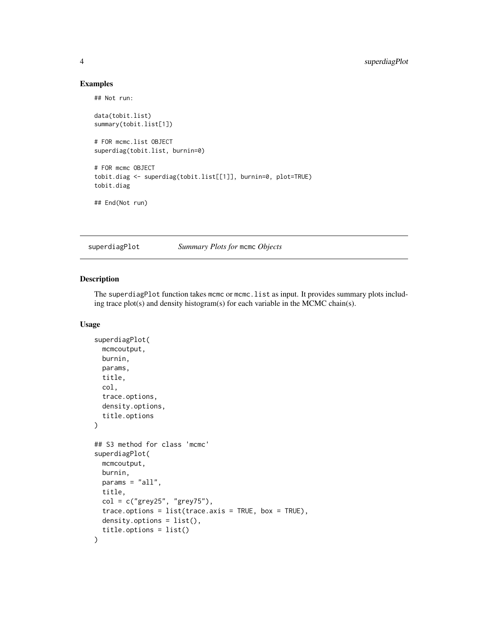#### Examples

## Not run:

```
data(tobit.list)
summary(tobit.list[1])
# FOR mcmc.list OBJECT
superdiag(tobit.list, burnin=0)
# FOR mcmc OBJECT
tobit.diag <- superdiag(tobit.list[[1]], burnin=0, plot=TRUE)
tobit.diag
## End(Not run)
```
<span id="page-3-1"></span>superdiagPlot *Summary Plots for* mcmc *Objects*

#### Description

The superdiagPlot function takes mcmc or mcmc.list as input. It provides summary plots including trace plot(s) and density histogram(s) for each variable in the MCMC chain(s).

#### Usage

```
superdiagPlot(
 mcmcoutput,
 burnin,
 params,
  title,
  col,
  trace.options,
 density.options,
  title.options
)
## S3 method for class 'mcmc'
superdiagPlot(
 mcmcoutput,
 burnin,
 params = "all",
  title,
  col = c("grey25", "grey75"),trace. options = list(trace.axis = TRUE, box = TRUE),
 density.options = list(),
  title.options = list()
\mathcal{E}
```
<span id="page-3-0"></span>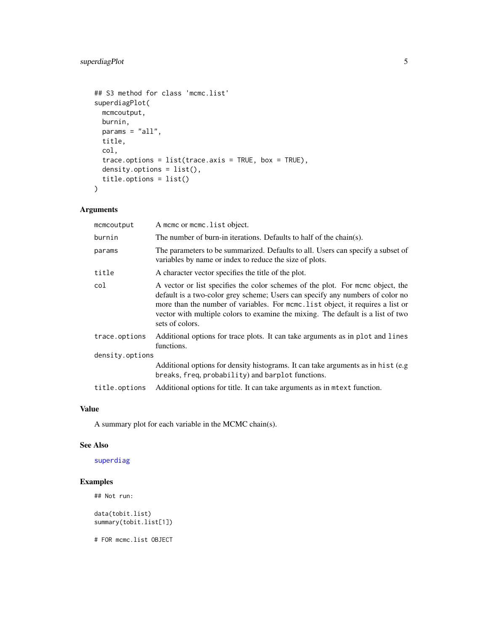```
## S3 method for class 'mcmc.list'
superdiagPlot(
 mcmcoutput,
 burnin,
 params = "all",
 title,
  col,
  trace.options = list(trace.axis = TRUE, box = TRUE),
 density.options = list(),
  title.options = list()
)
```
#### Arguments

| mcmcoutput      | A mome or mome. list object.                                                                                                                                                                                                                                                                                                                             |  |  |  |  |  |
|-----------------|----------------------------------------------------------------------------------------------------------------------------------------------------------------------------------------------------------------------------------------------------------------------------------------------------------------------------------------------------------|--|--|--|--|--|
| burnin          | The number of burn-in iterations. Defaults to half of the chain(s).                                                                                                                                                                                                                                                                                      |  |  |  |  |  |
| params          | The parameters to be summarized. Defaults to all. Users can specify a subset of<br>variables by name or index to reduce the size of plots.                                                                                                                                                                                                               |  |  |  |  |  |
| title           | A character vector specifies the title of the plot.                                                                                                                                                                                                                                                                                                      |  |  |  |  |  |
| col             | A vector or list specifies the color schemes of the plot. For mome object, the<br>default is a two-color grey scheme; Users can specify any numbers of color no<br>more than the number of variables. For mome, list object, it requires a list or<br>vector with multiple colors to examine the mixing. The default is a list of two<br>sets of colors. |  |  |  |  |  |
| trace.options   | Additional options for trace plots. It can take arguments as in plot and lines<br>functions.                                                                                                                                                                                                                                                             |  |  |  |  |  |
| density.options |                                                                                                                                                                                                                                                                                                                                                          |  |  |  |  |  |
|                 | Additional options for density histograms. It can take arguments as in hist (e.g.<br>breaks, freq, probability) and barplot functions.                                                                                                                                                                                                                   |  |  |  |  |  |
| title.options   | Additional options for title. It can take arguments as in mtext function.                                                                                                                                                                                                                                                                                |  |  |  |  |  |

#### Value

A summary plot for each variable in the MCMC chain(s).

#### See Also

#### [superdiag](#page-1-1)

#### Examples

```
## Not run:
data(tobit.list)
summary(tobit.list[1])
```
# FOR mcmc.list OBJECT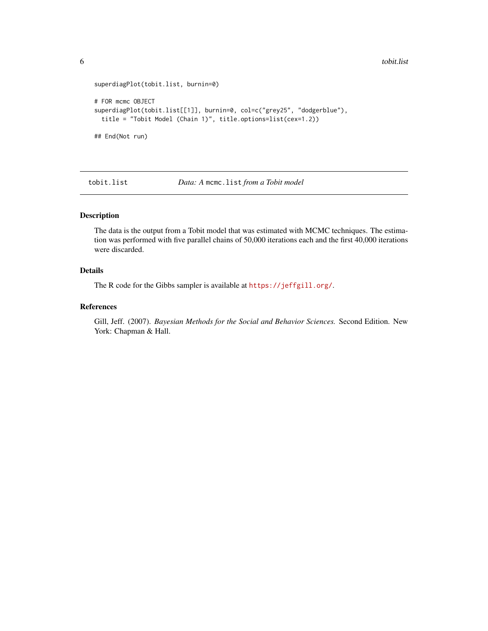<span id="page-5-0"></span>6 tobit.list

```
superdiagPlot(tobit.list, burnin=0)
# FOR mcmc OBJECT
superdiagPlot(tobit.list[[1]], burnin=0, col=c("grey25", "dodgerblue"),
 title = "Tobit Model (Chain 1)", title.options=list(cex=1.2))
## End(Not run)
```
tobit.list *Data: A* mcmc.list *from a Tobit model*

#### Description

The data is the output from a Tobit model that was estimated with MCMC techniques. The estimation was performed with five parallel chains of 50,000 iterations each and the first 40,000 iterations were discarded.

#### Details

The R code for the Gibbs sampler is available at <https://jeffgill.org/>.

#### References

Gill, Jeff. (2007). *Bayesian Methods for the Social and Behavior Sciences.* Second Edition. New York: Chapman & Hall.